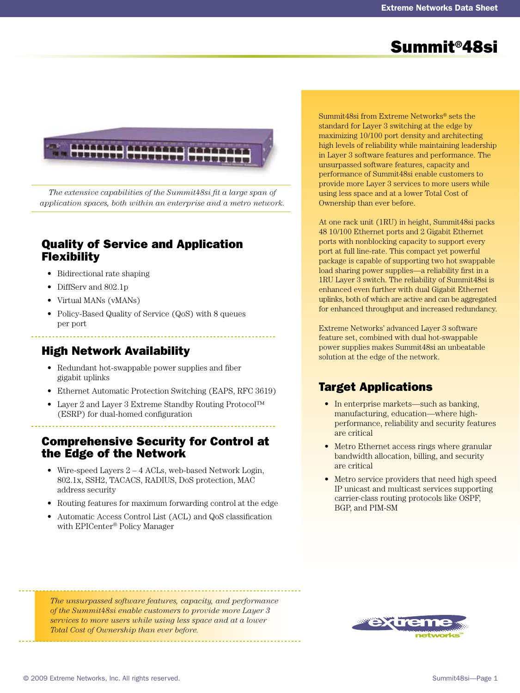# Summit®48si



*The extensive capabilities of the Summit48si fit a large span of application spaces, both within an enterprise and a metro network.*

### Quality of Service and Application Flexibility

- Bidirectional rate shaping
- DiffServ and 802.1p
- Virtual MANs (vMANs)
- Policy-Based Quality of Service (QoS) with 8 queues per port

### High Network Availability

- Redundant hot-swappable power supplies and fiber gigabit uplinks
- Ethernet Automatic Protection Switching (EAPS, RFC 3619)
- Layer 2 and Layer 3 Extreme Standby Routing Protocol™ (ESRP) for dual-homed configuration

### Comprehensive Security for Control at the Edge of the Network

- Wire-speed Layers 2 4 ACLs, web-based Network Login, 802.1x, SSH2, TACACS, RADIUS, DoS protection, MAC address security
- Routing features for maximum forwarding control at the edge
- Automatic Access Control List (ACL) and QoS classification with EPICenter® Policy Manager

Summit48si from Extreme Networks® sets the standard for Layer 3 switching at the edge by maximizing 10/100 port density and architecting high levels of reliability while maintaining leadership in Layer 3 software features and performance. The unsurpassed software features, capacity and performance of Summit48si enable customers to provide more Layer 3 services to more users while using less space and at a lower Total Cost of Ownership than ever before.

At one rack unit (1RU) in height, Summit48si packs 48 10/100 Ethernet ports and 2 Gigabit Ethernet ports with nonblocking capacity to support every port at full line-rate. This compact yet powerful package is capable of supporting two hot swappable load sharing power supplies—a reliability first in a 1RU Layer 3 switch. The reliability of Summit48si is enhanced even further with dual Gigabit Ethernet uplinks, both of which are active and can be aggregated for enhanced throughput and increased redundancy.

Extreme Networks' advanced Layer 3 software feature set, combined with dual hot-swappable power supplies makes Summit48si an unbeatable solution at the edge of the network.

## Target Applications

- In enterprise markets—such as banking, manufacturing, education—where highperformance, reliability and security features are critical
- Metro Ethernet access rings where granular bandwidth allocation, billing, and security are critical
- Metro service providers that need high speed IP unicast and multicast services supporting carrier-class routing protocols like OSPF, BGP, and PIM-SM

*The unsurpassed software features, capacity, and performance of the Summit48si enable customers to provide more Layer 3 services to more users while using less space and at a lower Total Cost of Ownership than ever before.*

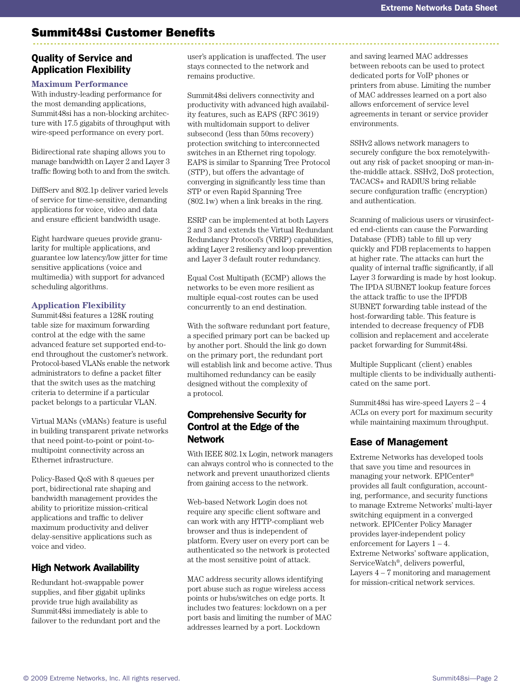### Summit48si Customer Benefits

#### Quality of Service and Application Flexibility

#### **Maximum Performance**

With industry-leading performance for the most demanding applications, Summit48si has a non-blocking architecture with 17.5 gigabits of throughput with wire-speed performance on every port.

Bidirectional rate shaping allows you to manage bandwidth on Layer 2 and Layer 3 traffic flowing both to and from the switch.

DiffServ and 802.1p deliver varied levels of service for time-sensitive, demanding applications for voice, video and data and ensure efficient bandwidth usage.

Eight hardware queues provide granularity for multiple applications, and guarantee low latency/low jitter for time sensitive applications (voice and multimedia) with support for advanced scheduling algorithms.

#### **Application Flexibility**

Summit48si features a 128K routing table size for maximum forwarding control at the edge with the same advanced feature set supported end-toend throughout the customer's network. Protocol-based VLANs enable the network administrators to define a packet filter that the switch uses as the matching criteria to determine if a particular packet belongs to a particular VLAN.

Virtual MANs (vMANs) feature is useful in building transparent private networks that need point-to-point or point-tomultipoint connectivity across an Ethernet infrastructure.

Policy-Based QoS with 8 queues per port, bidirectional rate shaping and bandwidth management provides the ability to prioritize mission-critical applications and traffic to deliver maximum productivity and deliver delay-sensitive applications such as voice and video.

#### High Network Availability

Redundant hot-swappable power supplies, and fiber gigabit uplinks provide true high availability as Summit48si immediately is able to failover to the redundant port and the user's application is unaffected. The user stays connected to the network and remains productive.

Summit48si delivers connectivity and productivity with advanced high availability features, such as EAPS (RFC 3619) with multidomain support to deliver subsecond (less than 50ms recovery) protection switching to interconnected switches in an Ethernet ring topology. EAPS is similar to Spanning Tree Protocol (STP), but offers the advantage of converging in significantly less time than STP or even Rapid Spanning Tree (802.1w) when a link breaks in the ring.

ESRP can be implemented at both Layers 2 and 3 and extends the Virtual Redundant Redundancy Protocol's (VRRP) capabilities, adding Layer 2 resiliency and loop prevention and Layer 3 default router redundancy.

Equal Cost Multipath (ECMP) allows the networks to be even more resilient as multiple equal-cost routes can be used concurrently to an end destination.

With the software redundant port feature, a specified primary port can be backed up by another port. Should the link go down on the primary port, the redundant port will establish link and become active. Thus multihomed redundancy can be easily designed without the complexity of a protocol.

#### Comprehensive Security for Control at the Edge of the Network

With IEEE 802.1x Login, network managers can always control who is connected to the network and prevent unauthorized clients from gaining access to the network.

Web-based Network Login does not require any specific client software and can work with any HTTP-compliant web browser and thus is independent of platform. Every user on every port can be authenticated so the network is protected at the most sensitive point of attack.

MAC address security allows identifying port abuse such as rogue wireless access points or hubs/switches on edge ports. It includes two features: lockdown on a per port basis and limiting the number of MAC addresses learned by a port. Lockdown

and saving learned MAC addresses between reboots can be used to protect dedicated ports for VoIP phones or printers from abuse. Limiting the number of MAC addresses learned on a port also allows enforcement of service level agreements in tenant or service provider environments.

SSHv2 allows network managers to securely configure the box remotelywithout any risk of packet snooping or man-inthe-middle attack. SSHv2, DoS protection, TACACS+ and RADIUS bring reliable secure configuration traffic (encryption) and authentication.

Scanning of malicious users or virusinfected end-clients can cause the Forwarding Database (FDB) table to fill up very quickly and FDB replacements to happen at higher rate. The attacks can hurt the quality of internal traffic significantly, if all Layer 3 forwarding is made by host lookup. The IPDA SUBNET lookup feature forces the attack traffic to use the IPFDB SUBNET forwarding table instead of the host-forwarding table. This feature is intended to decrease frequency of FDB collision and replacement and accelerate packet forwarding for Summit48si.

Multiple Supplicant (client) enables multiple clients to be individually authenticated on the same port.

Summit48si has wire-speed Layers 2 – 4 ACLs on every port for maximum security while maintaining maximum throughput.

#### Ease of Management

Extreme Networks has developed tools that save you time and resources in managing your network. EPICenter® provides all fault configuration, accounting, performance, and security functions to manage Extreme Networks' multi-layer switching equipment in a converged network. EPICenter Policy Manager provides layer-independent policy enforcement for Layers 1 – 4. Extreme Networks' software application, ServiceWatch®, delivers powerful, Layers  $4 - 7$  monitoring and management for mission-critical network services.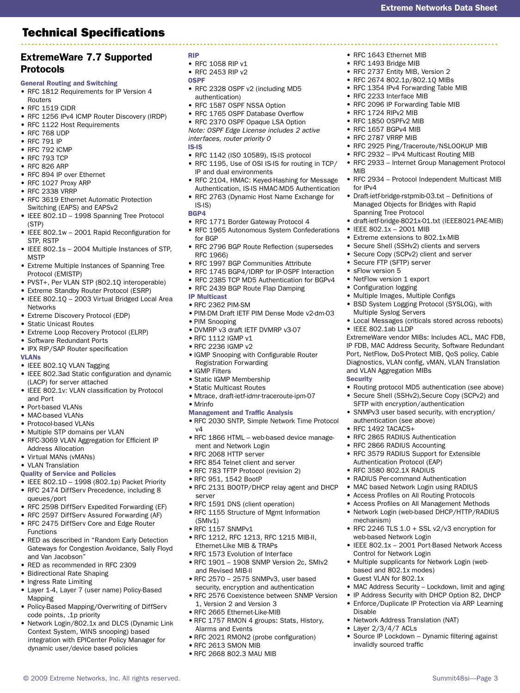## Technical Specifications

#### ExtremeWare 7.7 Supported Protocols

- General Routing and Switching
- RFC 1812 Requirements for IP Version 4
- Routers • RFC 1519 CIDR
- RFC 1256 IPv4 ICMP Router Discovery (IRDP)
- RFC 1122 Host Requirements
- RFC 768 UDP
- RFC 791 IP
- RFC 792 ICMP
- RFC 793 TCP
- RFC 826 ARP
- RFC 894 IP over Ethernet
- RFC 1027 Proxy ARP
- RFC 2338 VRRP
- RFC 3619 Ethernet Automatic Protection • Switching (EAPS) and EAPSv2
- IEEE 802.1D 1998 Spanning Tree Protocol (STP)
- IEEE 802.1w 2001 Rapid Reconfiguration for STP, RSTP
- IEEE 802.1s 2004 Multiple Instances of STP, **MSTP**
- Extreme Multiple Instances of Spanning Tree Protocol (EMISTP)
- PVST+, Per VLAN STP (802.1Q interoperable)
- Extreme Standby Router Protocol (ESRP)
- IEEE 802.1Q 2003 Virtual Bridged Local Area Networks
- Extreme Discovery Protocol (EDP)
- Static Unicast Routes
- Extreme Loop Recovery Protocol (ELRP)
- Software Redundant Ports
- IPX RIP/SAP Router specification
- VLANs
- IEEE 802.1Q VLAN Tagging
- IEEE 802.3ad Static configuration and dynamic (LACP) for server attached
- IEEE 802.1v: VLAN classification by Protocol and Port
- Port-based VLANs
- MAC-based VLANs
- Protocol-based VLANs
- Multiple STP domains per VLAN
- RFC-3069 VLAN Aggregation for Efficient IP Address Allocation
- Virtual MANs (vMANs)
- VLAN Translation
- Quality of Service and Policies
- IEEE 802.1D 1998 (802.1p) Packet Priority
- RFC 2474 DiffServ Precedence, including 8 queues/port
- RFC 2598 DiffServ Expedited Forwarding (EF)
- RFC 2597 DiffServ Assured Forwarding (AF)
- RFC 2475 DiffServ Core and Edge Router Functions
- RED as described in "Random Early Detection Gateways for Congestion Avoidance, Sally Floyd and Van Jacobson"
- RED as recommended in RFC 2309
- Bidirectional Rate Shaping
- Ingress Rate Limiting
- Layer 1-4, Layer 7 (user name) Policy-Based Mapping
- Policy-Based Mapping/Overwriting of DiffServ code points, .1p priority
- Network Login/802.1x and DLCS (Dynamic Link Context System, WINS snooping) based integration with EPICenter Policy Manager for dynamic user/device based policies
- RIP
- RFC 1058 RIP v1
- RFC 2453 RIP v2
- OSPF
- RFC 2328 OSPF v2 (including MD5 authentication)
- RFC 1587 OSPF NSSA Option
- RFC 1765 OSPF Database Overflow
- RFC 2370 OSPF Opaque LSA Option *Note: OSPF Edge License includes 2 active interfaces, router priority 0* IS-IS
- RFC 1142 (ISO 10589), IS-IS protocol
- RFC 1195, Use of OSI IS-IS for routing in TCP/ IP and dual environments

Extreme Networks Data Sheet

• RFC 1643 Ethernet MIB • RFC 1493 Bridge MIB • RFC 2737 Entity MIB, Version 2 • RFC 2674 802.1p/802.1Q MIBs • RFC 1354 IPv4 Forwarding Table MIB

• RFC 2233 Interface MIB

Spanning Tree Protocol

• IEEE 802.1x – 2001 MIB • Extreme extensions to 802.1x-MIB • Secure Shell (SSHv2) clients and servers • Secure Copy (SCPv2) client and server

• Secure FTP (SFTP) server • sFlow version 5 • NetFlow version 1 export • Configuration logging

Multiple Syslog Servers

and VLAN Aggregation MIBs

authentication (see above) • RFC 1492 TACACS+

• RFC 2865 RADIUS Authentication • RFC 2866 RADIUS Accounting

Authentication Protocol (EAP) • RFC 3580 802.1X RADIUS

web-based Network Login

Control for Network Login

based and 802.1x modes) • Guest VLAN for 802.1x

• Network Address Translation (NAT)

mechanism)

Disable

• Layer 2/3/4/7 ACLs

invalidly sourced traffic

• RFC 3579 RADIUS Support for Extensible

• RFC 2246 TLS 1.0 + SSL v2/v3 encryption for

• Multiple supplicants for Network Login (web-

• IEEE 802.1x – 2001 Port-Based Network Access

• MAC Address Security - Lockdown, limit and aging • IP Address Security with DHCP Option 82, DHCP • Enforce/Duplicate IP Protection via ARP Learning

• Source IP Lockdown – Dynamic filtering against

• RADIUS Per-command Authentication • MAC based Network Login using RADIUS • Access Profiles on All Routing Protocols • Access Profiles on All Management Methods • Network Login (web-based DHCP/HTTP/RADIUS

• IFFF 802.1ab LLDP

**Security** 

• Multiple Images, Multiple Configs

• BSD System Logging Protocol (SYSLOG), with

• Local Messages (criticals stored across reboots)

ExtremeWare vendor MIBs: Includes ACL, MAC FDB, IP FDB, MAC Address Security, Software Redundant Port, NetFlow, DoS-Protect MIB, QoS policy, Cable Diagnostics, VLAN config, vMAN, VLAN Translation

• Routing protocol MD5 authentication (see above) • Secure Shell (SSHv2), Secure Copy (SCPv2) and SFTP with encryption/authentication • SNMPv3 user based security, with encryption/

• RFC 1724 RIPv2 MIB • RFC 1850 OSPFv2 MIB • RFC 1657 BGPv4 MIB • RFC 2787 VRRP MIB

MIB

for IPv4

• RFC 2096 IP Forwarding Table MIB

• RFC 2925 Ping/Traceroute/NSLOOKUP MIB • RFC 2932 – IPv4 Multicast Routing MIB

• RFC 2933 – Internet Group Management Protocol

• RFC 2934 – Protocol Independent Multicast MIB

• draft-ietf-bridge-8021x-01.txt (IEEE8021-PAE-MIB)

• Draft-ietf-bridge-rstpmib-03.txt – Definitions of Managed Objects for Bridges with Rapid

- RFC 2104, HMAC: Keyed-Hashing for Message Authentication, IS-IS HMAC-MD5 Authentication
- RFC 2763 (Dynamic Host Name Exchange for
- IS-IS) BGP4
- RFC 1771 Border Gateway Protocol 4
- RFC 1965 Autonomous System Confederations for BGP
- RFC 2796 BGP Route Reflection (supersedes RFC 1966)
- RFC 1997 BGP Communities Attribute
- RFC 1745 BGP4/IDRP for IP-OSPF Interaction
- RFC 2385 TCP MD5 Authentication for BGPv4
- RFC 2439 BGP Route Flap Damping
- IP Multicast
- RFC 2362 PIM-SM
- PIM-DM Draft IETF PIM Dense Mode v2-dm-03
- PIM Snooping
- DVMRP v3 draft IETF DVMRP v3-07
- RFC 1112 IGMP v1
- RFC 2236 IGMP v2
- IGMP Snooping with Configurable Router • Registration Forwarding
- IGMP Filters
- Static IGMP Membership
- Static Multicast Routes
- Mtrace, draft-ietf-idmr-traceroute-ipm-07 • Mrinfo
- 
- Management and Traffic Analysis
- RFC 2030 SNTP, Simple Network Time Protocol v4
- RFC 1866 HTML web-based device management and Network Login
- RFC 2068 HTTP server
- RFC 854 Telnet client and server
- RFC 783 TFTP Protocol (revision 2)
- RFC 951, 1542 BootP
- RFC 2131 BOOTP/DHCP relay agent and DHCP server
- RFC 1591 DNS (client operation)
- RFC 1155 Structure of Mgmt Information (SMIv1)
- RFC 1157 SNMPv1
- RFC 1212, RFC 1213, RFC 1215 MIB-II, Ethernet-Like MIB & TRAPs
- RFC 1573 Evolution of Interface

1, Version 2 and Version 3 • RFC 2665 Ethernet-Like-MIB

Alarms and Events

• RFC 2613 SMON MIB • RFC 2668 802.3 MAU MIB

• RFC 1901 – 1908 SNMP Version 2c, SMIv2 and Revised MIB-II

© 2009 Extreme Networks, Inc. All rights reserved. Summit48si—Page 3 Summit48si—Page 3

• RFC 2570 – 2575 SNMPv3, user based security, encryption and authentication • RFC 2576 Coexistence between SNMP Version

• RFC 1757 RMON 4 groups: Stats, History,

• RFC 2021 RMON2 (probe configuration)